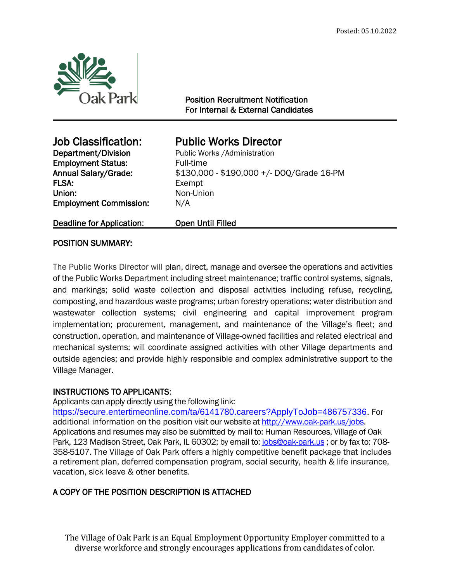

1

Position Recruitment Notification For Internal & External Candidates

**Employment Status:** Full-time FLSA: Exempt Union: Non-Union Employment Commission: N/A

# Job Classification: Public Works Director

**Department/Division** Public Works /Administration Annual Salary/Grade: \$130,000 - \$190,000 +/- DOQ/Grade 16-PM

Deadline for Application: Open Until Filled

# POSITION SUMMARY:

The Public Works Director will plan, direct, manage and oversee the operations and activities of the Public Works Department including street maintenance; traffic control systems, signals, and markings; solid waste collection and disposal activities including refuse, recycling, composting, and hazardous waste programs; urban forestry operations; water distribution and wastewater collection systems; civil engineering and capital improvement program implementation; procurement, management, and maintenance of the Village's fleet; and construction, operation, and maintenance of Village-owned facilities and related electrical and mechanical systems; will coordinate assigned activities with other Village departments and outside agencies; and provide highly responsible and complex administrative support to the Village Manager.

# INSTRUCTIONS TO APPLICANTS:

Applicants can apply directly using the following link:

<https://secure.entertimeonline.com/ta/6141780.careers?ApplyToJob=486757336>. For additional information on the position visit our website at [http://www.oak-park.us/j](http://www.oak-park.us/)obs. Applications and resumes may also be submitted by mail to: Human Resources, Village of Oak Park, 123 Madison Street, Oak Park, IL 60302; by email to: [jobs@oak-park.us](mailto:jobs@oak-park.us) ; or by fax to: 708-358-5107. The Village of Oak Park offers a highly competitive benefit package that includes a retirement plan, deferred compensation program, social security, health & life insurance, vacation, sick leave & other benefits.

# A COPY OF THE POSITION DESCRIPTION IS ATTACHED

The Village of Oak Park is an Equal Employment Opportunity Employer committed to a diverse workforce and strongly encourages applications from candidates of color.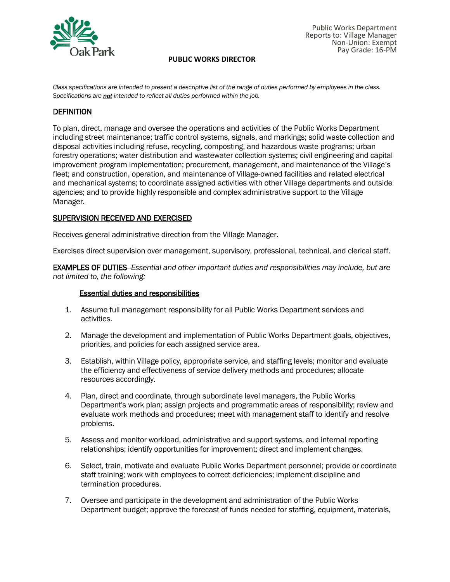

*Class specifications are intended to present a descriptive list of the range of duties performed by employees in the class. Specifications are not intended to reflect all duties performed within the job.*

# **DEFINITION**

To plan, direct, manage and oversee the operations and activities of the Public Works Department including street maintenance; traffic control systems, signals, and markings; solid waste collection and disposal activities including refuse, recycling, composting, and hazardous waste programs; urban forestry operations; water distribution and wastewater collection systems; civil engineering and capital improvement program implementation; procurement, management, and maintenance of the Village's fleet; and construction, operation, and maintenance of Village-owned facilities and related electrical and mechanical systems; to coordinate assigned activities with other Village departments and outside agencies; and to provide highly responsible and complex administrative support to the Village Manager.

## SUPERVISION RECEIVED AND EXERCISED

Receives general administrative direction from the Village Manager.

Exercises direct supervision over management, supervisory, professional, technical, and clerical staff.

EXAMPLES OF DUTIES--*Essential and other important duties and responsibilities may include, but are not limited to, the following:*

#### Essential duties and responsibilities

- 1. Assume full management responsibility for all Public Works Department services and activities.
- 2. Manage the development and implementation of Public Works Department goals, objectives, priorities, and policies for each assigned service area.
- 3. Establish, within Village policy, appropriate service, and staffing levels; monitor and evaluate the efficiency and effectiveness of service delivery methods and procedures; allocate resources accordingly.
- 4. Plan, direct and coordinate, through subordinate level managers, the Public Works Department's work plan; assign projects and programmatic areas of responsibility; review and evaluate work methods and procedures; meet with management staff to identify and resolve problems.
- 5. Assess and monitor workload, administrative and support systems, and internal reporting relationships; identify opportunities for improvement; direct and implement changes.
- 6. Select, train, motivate and evaluate Public Works Department personnel; provide or coordinate staff training; work with employees to correct deficiencies; implement discipline and termination procedures.
- 7. Oversee and participate in the development and administration of the Public Works Department budget; approve the forecast of funds needed for staffing, equipment, materials,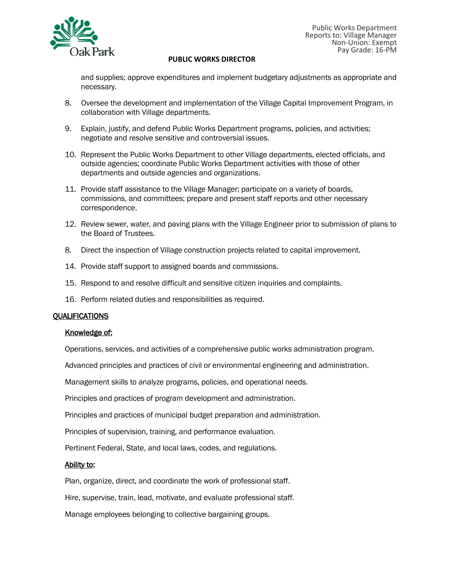

and supplies; approve expenditures and implement budgetary adjustments as appropriate and necessary.

- 8. Oversee the development and implementation of the Village Capital Improvement Program, in collaboration with Village departments.
- 9. Explain, justify, and defend Public Works Department programs, policies, and activities; negotiate and resolve sensitive and controversial issues.
- 10. Represent the Public Works Department to other Village departments, elected officials, and outside agencies; coordinate Public Works Department activities with those of other departments and outside agencies and organizations.
- 11. Provide staff assistance to the Village Manager; participate on a variety of boards, commissions, and committees; prepare and present staff reports and other necessary correspondence.
- 12. Review sewer, water, and paving plans with the Village Engineer prior to submission of plans to the Board of Trustees.
- 8. Direct the inspection of Village construction projects related to capital improvement.
- 14. Provide staff support to assigned boards and commissions.
- 15. Respond to and resolve difficult and sensitive citizen inquiries and complaints.
- 16. Perform related duties and responsibilities as required.

## QUALIFICATIONS

## Knowledge of:

Operations, services, and activities of a comprehensive public works administration program.

Advanced principles and practices of civil or environmental engineering and administration.

Management skills to analyze programs, policies, and operational needs.

Principles and practices of program development and administration.

Principles and practices of municipal budget preparation and administration.

Principles of supervision, training, and performance evaluation.

Pertinent Federal, State, and local laws, codes, and regulations.

# Ability to:

Plan, organize, direct, and coordinate the work of professional staff.

Hire, supervise, train, lead, motivate, and evaluate professional staff.

Manage employees belonging to collective bargaining groups.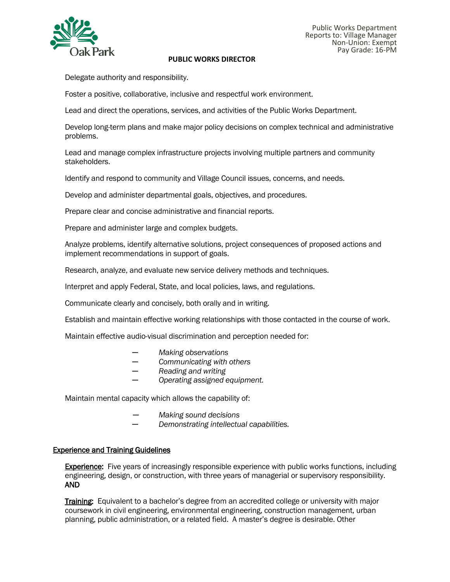

Delegate authority and responsibility.

Foster a positive, collaborative, inclusive and respectful work environment.

Lead and direct the operations, services, and activities of the Public Works Department.

Develop long-term plans and make major policy decisions on complex technical and administrative problems.

Lead and manage complex infrastructure projects involving multiple partners and community stakeholders.

Identify and respond to community and Village Council issues, concerns, and needs.

Develop and administer departmental goals, objectives, and procedures.

Prepare clear and concise administrative and financial reports.

Prepare and administer large and complex budgets.

Analyze problems, identify alternative solutions, project consequences of proposed actions and implement recommendations in support of goals.

Research, analyze, and evaluate new service delivery methods and techniques.

Interpret and apply Federal, State, and local policies, laws, and regulations.

Communicate clearly and concisely, both orally and in writing.

Establish and maintain effective working relationships with those contacted in the course of work.

Maintain effective audio-visual discrimination and perception needed for:

- *─ Making observations*
- *─ Communicating with others*
- *─ Reading and writing*
- *─ Operating assigned equipment.*

Maintain mental capacity which allows the capability of:

- *─ Making sound decisions*
- *─ Demonstrating intellectual capabilities.*

## Experience and Training Guidelines

**Experience:** Five years of increasingly responsible experience with public works functions, including engineering, design, or construction, with three years of managerial or supervisory responsibility. AND

**Training:** Equivalent to a bachelor's degree from an accredited college or university with major coursework in civil engineering, environmental engineering, construction management, urban planning, public administration, or a related field. A master's degree is desirable. Other